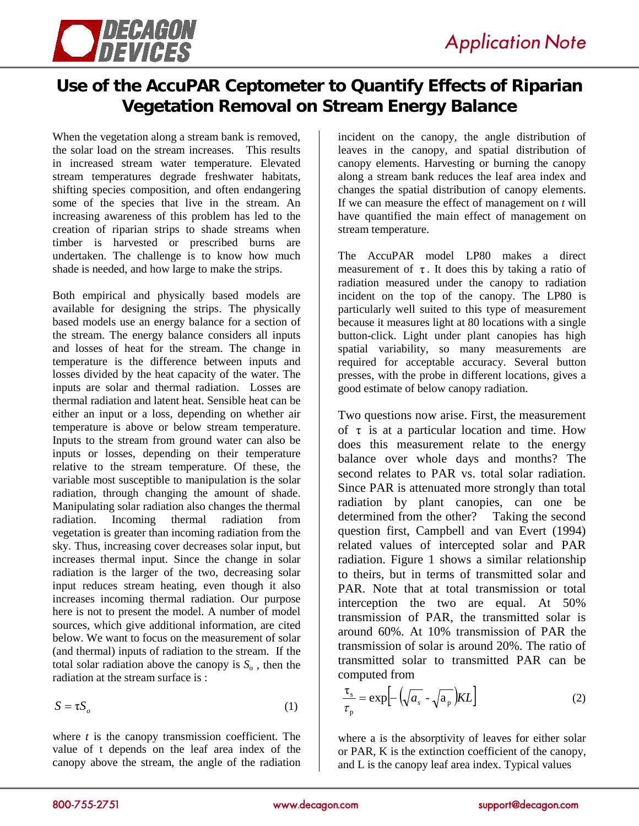

## **Use of the AccuPAR Ceptometer to Quantify Effects of Riparian Vegetation Removal on Stream Energy Balance**

When the vegetation along a stream bank is removed, the solar load on the stream increases. This results in increased stream water temperature. Elevated stream temperatures degrade freshwater habitats, shifting species composition, and often endangering some of the species that live in the stream. An increasing awareness of this problem has led to the creation of riparian strips to shade streams when timber is harvested or prescribed burns are undertaken. The challenge is to know how much shade is needed, and how large to make the strips.

Both empirical and physically based models are available for designing the strips. The physically based models use an energy balance for a section of the stream. The energy balance considers all inputs and losses of heat for the stream. The change in temperature is the difference between inputs and losses divided by the heat capacity of the water. The inputs are solar and thermal radiation. Losses are thermal radiation and latent heat. Sensible heat can be either an input or a loss, depending on whether air temperature is above or below stream temperature. Inputs to the stream from ground water can also be inputs or losses, depending on their temperature relative to the stream temperature. Of these, the variable most susceptible to manipulation is the solar radiation, through changing the amount of shade. Manipulating solar radiation also changes the thermal radiation. Incoming thermal radiation from vegetation is greater than incoming radiation from the sky. Thus, increasing cover decreases solar input, but increases thermal input. Since the change in solar radiation is the larger of the two, decreasing solar input reduces stream heating, even though it also increases incoming thermal radiation. Our purpose here is not to present the model. A number of model sources, which give additional information, are cited below. We want to focus on the measurement of solar (and thermal) inputs of radiation to the stream. If the total solar radiation above the canopy is  $S_0$ , then the radiation at the stream surface is :

$$
S = \tau S_o \tag{1}
$$

where *t* is the canopy transmission coefficient. The value of t depends on the leaf area index of the canopy above the stream, the angle of the radiation

incident on the canopy, the angle distribution of leaves in the canopy, and spatial distribution of canopy elements. Harvesting or burning the canopy along a stream bank reduces the leaf area index and changes the spatial distribution of canopy elements. If we can measure the effect of management on *t* will have quantified the main effect of management on stream temperature.

The AccuPAR model LP80 makes a direct measurement of  $\tau$ . It does this by taking a ratio of radiation measured under the canopy to radiation incident on the top of the canopy. The LP80 is particularly well suited to this type of measurement because it measures light at 80 locations with a single button-click. Light under plant canopies has high spatial variability, so many measurements are required for acceptable accuracy. Several button presses, with the probe in different locations, gives a good estimate of below canopy radiation.

Two questions now arise. First, the measurement of  $\tau$  is at a particular location and time. How does this measurement relate to the energy balance over whole days and months? The second relates to PAR vs. total solar radiation. Since PAR is attenuated more strongly than total radiation by plant canopies, can one be determined from the other? Taking the second question first, Campbell and van Evert (1994) related values of intercepted solar and PAR radiation. Figure 1 shows a similar relationship to theirs, but in terms of transmitted solar and PAR. Note that at total transmission or total interception the two are equal. At 50% transmission of PAR, the transmitted solar is around 60%. At 10% transmission of PAR the transmission of solar is around 20%. The ratio of transmitted solar to transmitted PAR can be computed from

$$
\frac{\tau_s}{\tau_p} = \exp\left[-\left(\sqrt{a_s} - \sqrt{a_p}\right)KL\right]
$$
 (2)

where a is the absorptivity of leaves for either solar or PAR, K is the extinction coefficient of the canopy, and L is the canopy leaf area index. Typical values